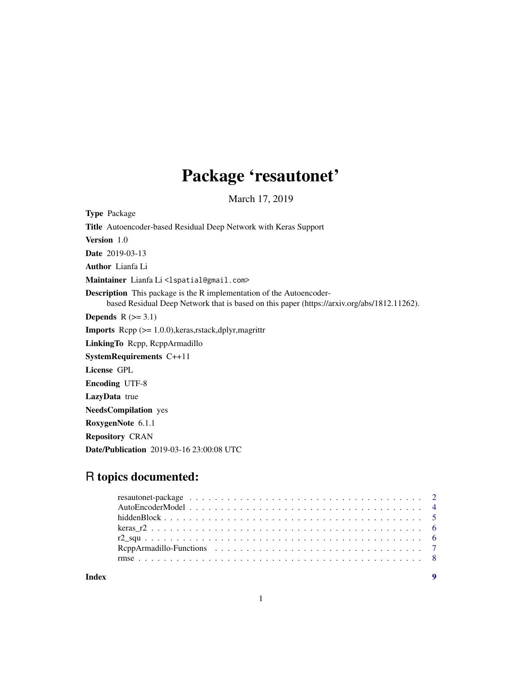## Package 'resautonet'

March 17, 2019

Type Package Title Autoencoder-based Residual Deep Network with Keras Support Version 1.0 Date 2019-03-13 Author Lianfa Li Maintainer Lianfa Li<lspatial@gmail.com> Description This package is the R implementation of the Autoencoderbased Residual Deep Network that is based on this paper (https://arxiv.org/abs/1812.11262). Depends  $R$  ( $>= 3.1$ ) Imports Rcpp (>= 1.0.0),keras,rstack,dplyr,magrittr LinkingTo Rcpp, RcppArmadillo SystemRequirements C++11 License GPL Encoding UTF-8 LazyData true NeedsCompilation yes RoxygenNote 6.1.1 Repository CRAN Date/Publication 2019-03-16 23:00:08 UTC

## R topics documented:

**Index** [9](#page-8-0)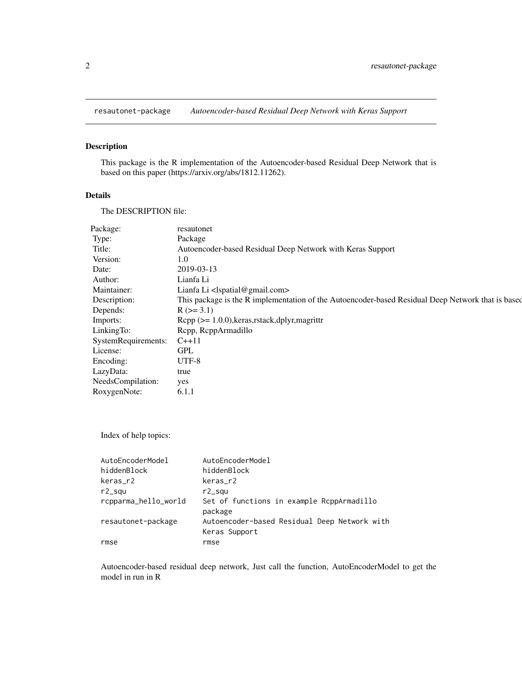<span id="page-1-0"></span>resautonet-package *Autoencoder-based Residual Deep Network with Keras Support*

#### Description

This package is the R implementation of the Autoencoder-based Residual Deep Network that is based on this paper (https://arxiv.org/abs/1812.11262).

#### Details

The DESCRIPTION file:

| resautonet                                                                                        |
|---------------------------------------------------------------------------------------------------|
| Package                                                                                           |
| Autoencoder-based Residual Deep Network with Keras Support                                        |
| 1.0                                                                                               |
| 2019-03-13                                                                                        |
| Lianfa Li                                                                                         |
| Lianfa Li <lspatial@gmail.com></lspatial@gmail.com>                                               |
| This package is the R implementation of the Autoencoder-based Residual Deep Network that is based |
| $R (=3.1)$                                                                                        |
| $\text{Rcpp}$ ( $\geq 1.0.0$ ), keras, rstack, dplyr, magrittr                                    |
| Repp, ReppArmadillo                                                                               |
| $C_{++}11$                                                                                        |
| <b>GPL</b>                                                                                        |
| UTF-8                                                                                             |
| true                                                                                              |
| yes                                                                                               |
| 6.1.1                                                                                             |
|                                                                                                   |

Index of help topics:

| AutoEncoderModel     | AutoEncoderModel                                              |
|----------------------|---------------------------------------------------------------|
| hiddenBlock          | hiddenBlock                                                   |
| keras_r2             | keras_r2                                                      |
| $r2$ _squ            | $r2$ _squ                                                     |
| rcpparma_hello_world | Set of functions in example RcppArmadillo<br>package          |
| resautonet-package   | Autoencoder-based Residual Deep Network with<br>Keras Support |
| rmse                 | rmse                                                          |

Autoencoder-based residual deep network, Just call the function, AutoEncoderModel to get the model in run in R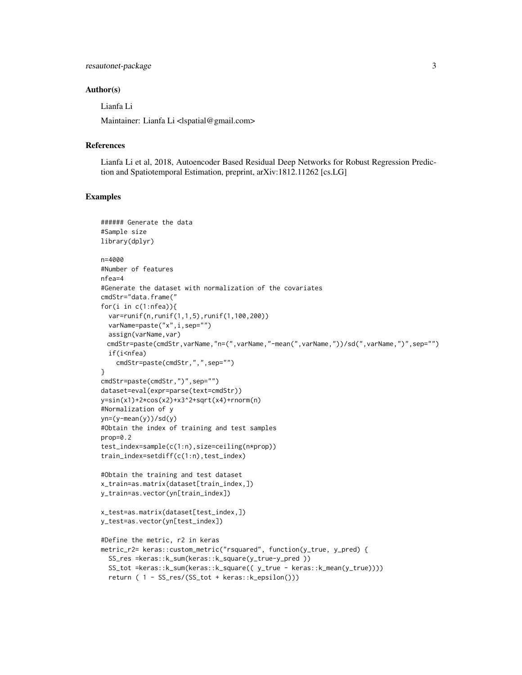#### resautonet-package 3

#### Author(s)

Lianfa Li

Maintainer: Lianfa Li <lspatial@gmail.com>

#### References

Lianfa Li et al, 2018, Autoencoder Based Residual Deep Networks for Robust Regression Prediction and Spatiotemporal Estimation, preprint, arXiv:1812.11262 [cs.LG]

#### Examples

```
###### Generate the data
#Sample size
library(dplyr)
n=4000
#Number of features
nfea=4
#Generate the dataset with normalization of the covariates
cmdStr="data.frame("
for(i in c(1:nfea)){
 var=runif(n,runif(1,1,5),runif(1,100,200))
  varName=paste("x",i,sep="")
  assign(varName, var)
 cmdStr=paste(cmdStr,varName,"n=(",varName,"-mean(",varName,"))/sd(",varName,")",sep="")
  if(i<nfea)
    cmdStr=paste(cmdStr,",",sep="")
}
cmdStr=paste(cmdStr,")",sep="")
dataset=eval(expr=parse(text=cmdStr))
y=sin(x1)+2*cos(x2)+x3^2+sqrt(x4)+rnorm(n)
#Normalization of y
yn=(y-mean(y))/sd(y)#Obtain the index of training and test samples
prop=0.2
test_index=sample(c(1:n),size=ceiling(n*prop))
train_index=setdiff(c(1:n),test_index)
#Obtain the training and test dataset
x_train=as.matrix(dataset[train_index,])
y_train=as.vector(yn[train_index])
x_test=as.matrix(dataset[test_index,])
y_test=as.vector(yn[test_index])
#Define the metric, r2 in keras
metric_r2= keras::custom_metric("rsquared", function(y_true, y_pred) {
  SS_res =keras::k_sum(keras::k_square(y_true-y_pred ))
  SS_tot =keras::k_sum(keras::k_square(( y_true - keras::k_mean(y_true))))
  return ( 1 - SS_res/(SS_tot + keras::k_epsilon()))
```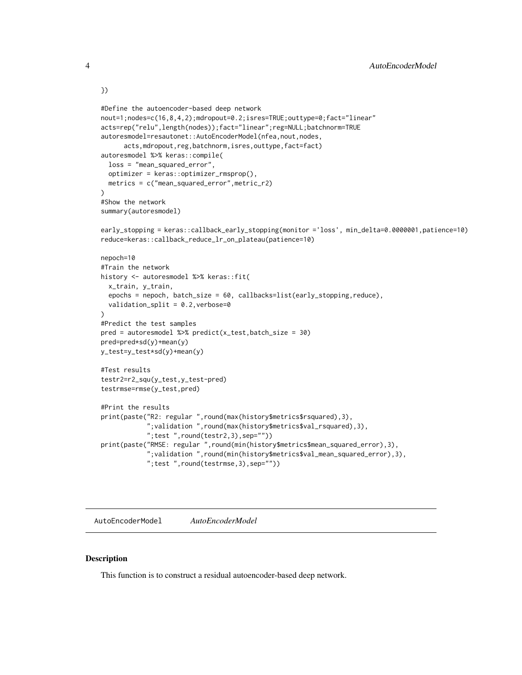```
})
#Define the autoencoder-based deep network
nout=1;nodes=c(16,8,4,2);mdropout=0.2;isres=TRUE;outtype=0;fact="linear"
acts=rep("relu",length(nodes));fact="linear";reg=NULL;batchnorm=TRUE
autoresmodel=resautonet::AutoEncoderModel(nfea,nout,nodes,
      acts,mdropout,reg,batchnorm,isres,outtype,fact=fact)
autoresmodel %>% keras::compile(
  loss = "mean_squared_error",
  optimizer = keras::optimizer_rmsprop(),
  metrics = c("mean_squared_error",metric_r2)
\lambda#Show the network
summary(autoresmodel)
early_stopping = keras::callback_early_stopping(monitor ='loss', min_delta=0.0000001,patience=10)
reduce=keras::callback_reduce_lr_on_plateau(patience=10)
nepoch=10
#Train the network
history <- autoresmodel %>% keras::fit(
  x_train, y_train,
  epochs = nepoch, batch_size = 60, callbacks=list(early_stopping,reduce),
  validation_split = 0.2, verbose=0
\lambda#Predict the test samples
pred = autoresmodel %>% predict(x_test,batch_size = 30)
pred=pred*sd(y)+mean(y)
y_test=y_test*sd(y)+mean(y)
#Test results
testr2=r2_squ(y_test,y_test-pred)
testrmse=rmse(y_test,pred)
#Print the results
print(paste("R2: regular ",round(max(history$metrics$rsquared),3),
            ";validation ",round(max(history$metrics$val_rsquared),3),
            ";test ",round(testr2,3),sep=""))
print(paste("RMSE: regular ",round(min(history$metrics$mean_squared_error),3),
            ";validation ",round(min(history$metrics$val_mean_squared_error),3),
            ";test ",round(testrmse,3),sep=""))
```
AutoEncoderModel *AutoEncoderModel*

#### Description

This function is to construct a residual autoencoder-based deep network.

<span id="page-3-0"></span>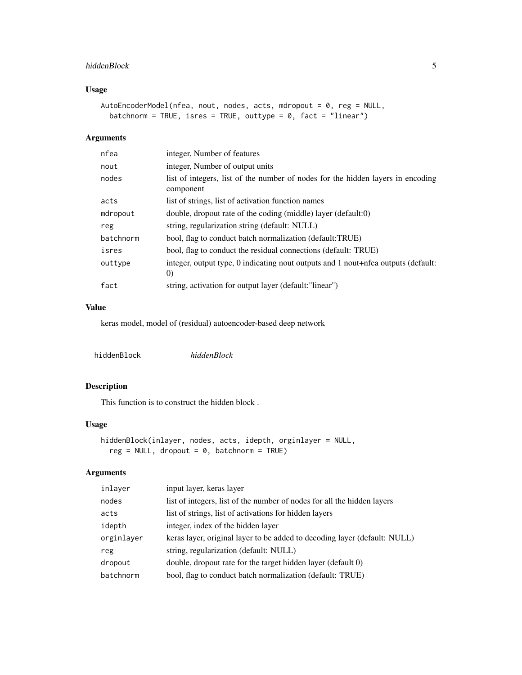#### <span id="page-4-0"></span>hiddenBlock 5

#### Usage

```
AutoEncoderModel(nfea, nout, nodes, acts, mdropout = 0, reg = NULL,
 batchnorm = TRUE, isres = TRUE, outtype = 0, fact = "linear")
```
#### Arguments

| nfea      | integer, Number of features                                                                            |
|-----------|--------------------------------------------------------------------------------------------------------|
| nout      | integer, Number of output units                                                                        |
| nodes     | list of integers, list of the number of nodes for the hidden layers in encoding<br>component           |
| acts      | list of strings, list of activation function names                                                     |
| mdropout  | double, dropout rate of the coding (middle) layer (default:0)                                          |
| reg       | string, regularization string (default: NULL)                                                          |
| batchnorm | bool, flag to conduct batch normalization (default:TRUE)                                               |
| isres     | bool, flag to conduct the residual connections (default: TRUE)                                         |
| outtype   | integer, output type, 0 indicating nout outputs and 1 nout+nfea outputs (default:<br>$\left( 0\right)$ |
| fact      | string, activation for output layer (default: "linear")                                                |

#### Value

keras model, model of (residual) autoencoder-based deep network

|--|

### Description

This function is to construct the hidden block .

#### Usage

```
hiddenBlock(inlayer, nodes, acts, idepth, orginlayer = NULL,
 reg = NULL, dropout = 0, batchnorm = TRUE)
```
#### Arguments

| inlayer    | input layer, keras layer                                                  |
|------------|---------------------------------------------------------------------------|
| nodes      | list of integers, list of the number of nodes for all the hidden layers   |
| acts       | list of strings, list of activations for hidden layers                    |
| idepth     | integer, index of the hidden layer                                        |
| orginlayer | keras layer, original layer to be added to decoding layer (default: NULL) |
| reg        | string, regularization (default: NULL)                                    |
| dropout    | double, dropout rate for the target hidden layer (default 0)              |
| batchnorm  | bool, flag to conduct batch normalization (default: TRUE)                 |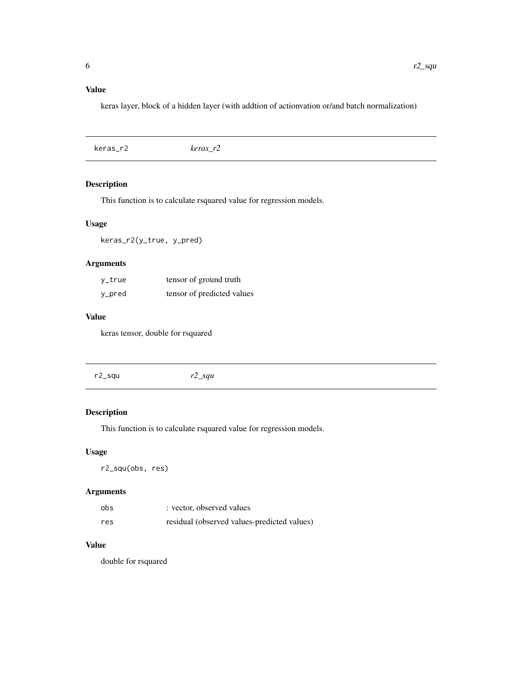#### <span id="page-5-0"></span>Value

keras layer, block of a hidden layer (with addtion of actionvation or/and batch normalization)

| keras r2 |
|----------|
|          |

#### Description

This function is to calculate rsquared value for regression models.

#### Usage

keras\_r2(y\_true, y\_pred)

#### Arguments

| y_true | tensor of ground truth     |
|--------|----------------------------|
| y_pred | tensor of predicted values |

#### Value

keras tensor, double for rsquared

r2\_squ *r2\_squ*

#### Description

This function is to calculate rsquared value for regression models.

#### Usage

r2\_squ(obs, res)

#### Arguments

| obs | : vector, observed values                   |
|-----|---------------------------------------------|
| res | residual (observed values-predicted values) |

#### Value

double for rsquared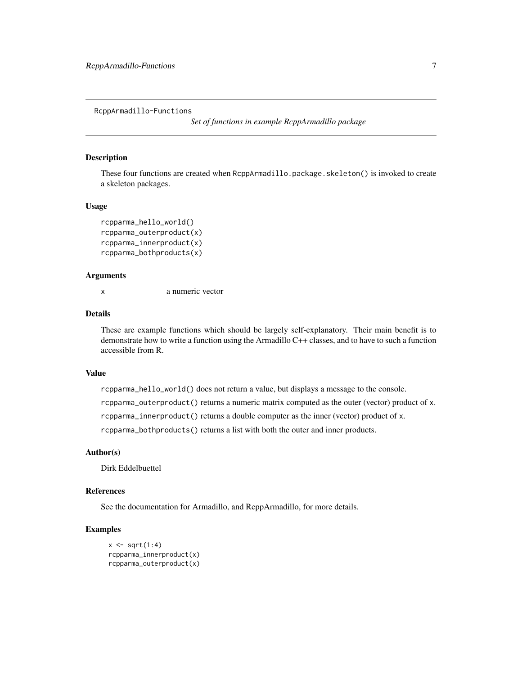<span id="page-6-0"></span>RcppArmadillo-Functions

*Set of functions in example RcppArmadillo package*

#### Description

These four functions are created when RcppArmadillo.package.skeleton() is invoked to create a skeleton packages.

#### Usage

```
rcpparma_hello_world()
rcpparma_outerproduct(x)
rcpparma_innerproduct(x)
rcpparma_bothproducts(x)
```
#### Arguments

x a numeric vector

#### Details

These are example functions which should be largely self-explanatory. Their main benefit is to demonstrate how to write a function using the Armadillo C++ classes, and to have to such a function accessible from R.

#### Value

rcpparma\_hello\_world() does not return a value, but displays a message to the console. rcpparma\_outerproduct() returns a numeric matrix computed as the outer (vector) product of x. rcpparma\_innerproduct() returns a double computer as the inner (vector) product of x. rcpparma\_bothproducts() returns a list with both the outer and inner products.

#### Author(s)

Dirk Eddelbuettel

#### References

See the documentation for Armadillo, and RcppArmadillo, for more details.

#### Examples

```
x \leftarrow sqrt(1:4)rcpparma_innerproduct(x)
rcpparma_outerproduct(x)
```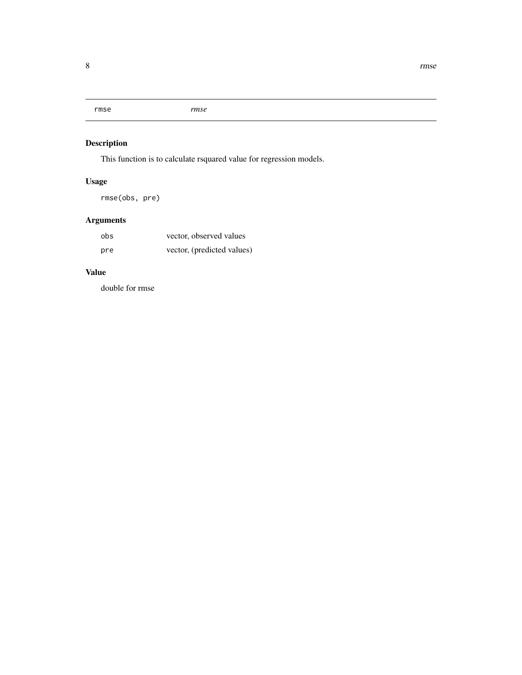<span id="page-7-0"></span>rmse *rmse*

#### Description

This function is to calculate rsquared value for regression models.

## Usage

rmse(obs, pre)

## Arguments

| obs | vector, observed values    |
|-----|----------------------------|
| pre | vector, (predicted values) |

#### Value

double for rmse